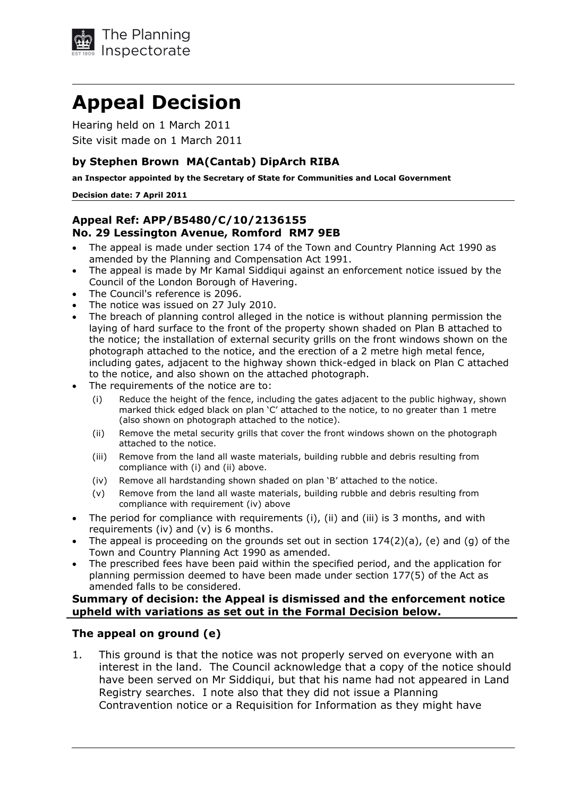

# **Appeal ecision**

 Hearing held on 1 March 2011 Site visit made on 1 March 2011

## **by Stephen Brown MA(Cantab) ipArch RIBA**

 **an Inspector appointed by the Secretary of State for Communities and Local Government**

#### **ecision date: 7 April 2011**

## **Appeal Ref: APP/B5480/C/10/2136155 No. 29 Lessington Avenue, Romford RM7 9EB**

- The appeal is made under section 174 of the Town and Country Planning Act 1990 as amended by the Planning and Compensation Act 1991.
- The appeal is made by Mr Kamal Siddiqui against an enforcement notice issued by the Council of the London Borough of Havering.
- The Council's reference is 2096.
- The notice was issued on 27 July 2010.
- The breach of planning control alleged in the notice is without planning permission the laying of hard surface to the front of the property shown shaded on Plan B attached to the notice; the installation of external security grills on the front windows shown on the photograph attached to the notice, and the erection of a 2 metre high metal fence, including gates, adjacent to the highway shown thick-edged in black on Plan C attached to the notice, and also shown on the attached photograph.
- • The requirements of the notice are to:
	- $(i)$  Reduce the height of the fence, including the gates adjacent to the public highway, shown marked thick edged black on plan 'C' attached to the notice, to no greater than 1 metre (also shown on photograph attached to the notice).  $(i)$
	- (ii) Fremove the metal security grills that cover the front windows shown on the photograph attached to the notice.  $(ii)$
	- (iii) Remove from the land all waste materials, building rubble and debris resulting from compliance with (i) and (ii) above.  $(iii)$
	- $(iv)$  Remove all hardstanding shown shaded on plan 'B' attached to the notice.  $(iv)$
	- (v) Remove from the land all waste materials, building rubble and debris resulting from compliance with requirement (iv) above  $(v)$
- The period for compliance with requirements (i), (ii) and (iii) is 3 months, and with requirements (iv) and (v) is 6 months.
- The appeal is proceeding on the grounds set out in section 174(2)(a), (e) and (g) of the Town and Country Planning Act 1990 as amended.
- The prescribed fees have been paid within the specified period, and the application for planning permission deemed to have been made under section 177(5) of the Act as amended falls to be considered.

## **Summary of decision: the Appeal is dismissed and the enforcement notice upheld with variations as set out in the Formal ecision below.**

## **The appeal on ground (e)**

1. This ground is that the notice was not properly served on everyone with an interest in the land. The Council acknowledge that a copy of the notice should have been served on Mr Siddiqui, but that his name had not appeared in Land Registry searches. I note also that they did not issue a Planning Contravention notice or a Requisition for Information as they might have1.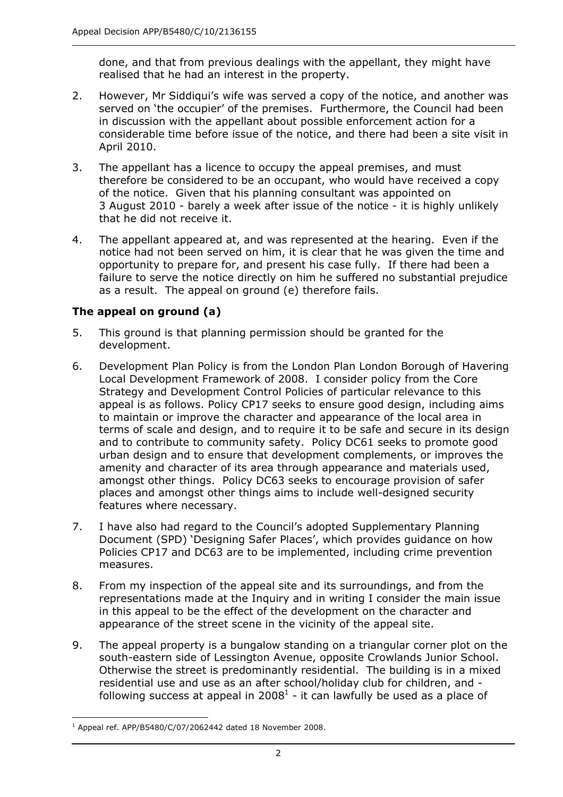done, and that from previous dealings with the appellant, they might have realised that he had an interest in the property.

- 2. However, Mr Siddiqui's wife was served a copy of the notice, and another was served on 'the occupier' of the premises. Furthermore, the Council had been in discussion with the appellant about possible enforcement action for a considerable time before issue of the notice, and there had been a site visit in  $2.$ April 2010.
- 3. The appellant has a licence to occupy the appeal premises, and must therefore be considered to be an occupant, who would have received a copy of the notice. Given that his planning consultant was appointed on 3 August 2010 - barely a week after issue of the notice - it is highly unlikely that he did not receive it. 3.
- 4. The appellant appeared at, and was represented at the hearing. Even if the notice had not been served on him, it is clear that he was given the time and opportunity to prepare for, and present his case fully. If there had been a failure to serve the notice directly on him he suffered no substantial prejudice as a result. The appeal on ground (e) therefore fails.  $\overline{4}$ .

# **The appeal on ground (a)**

- 5. This ground is that planning permission should be granted for the 5. development.
- 6. Development Plan Policy is from the London Plan London Borough of Havering Local Development Framework of 2008. I consider policy from the Core Strategy and Development Control Policies of particular relevance to this appeal is as follows. Policy CP17 seeks to ensure good design, including aims to maintain or improve the character and appearance of the local area in terms of scale and design, and to require it to be safe and secure in its design and to contribute to community safety. Policy DC61 seeks to promote good urban design and to ensure that development complements, or improves the amenity and character of its area through appearance and materials used, amongst other things. Policy DC63 seeks to encourage provision of safer places and amongst other things aims to include well-designed security 6. features where necessary.
- 7. I have also had regard to the Council's adopted Supplementary Planning Document (SPD) 'Designing Safer Places', which provides guidance on how Policies CP17 and DC63 are to be implemented, including crime prevention  $7.$ measures.
- 8. From my inspection of the appeal site and its surroundings, and from the representations made at the Inquiry and in writing I consider the main issue in this appeal to be the effect of the development on the character and appearance of the street scene in the vicinity of the appeal site. 8.
- 9. The appeal property is a bungalow standing on a triangular corner plot on the south-eastern side of Lessington Avenue, opposite Crowlands Junior School. Otherwise the street is predominantly residential. The building is in a mixed residential use and use as an after school/holiday club for children, and following success at appeal in 2008<sup>1</sup> - it can lawfully be used as a place of 9.

 $1$  Appeal ref. APP/B5480/C/07/2062442 dated 18 November 2008.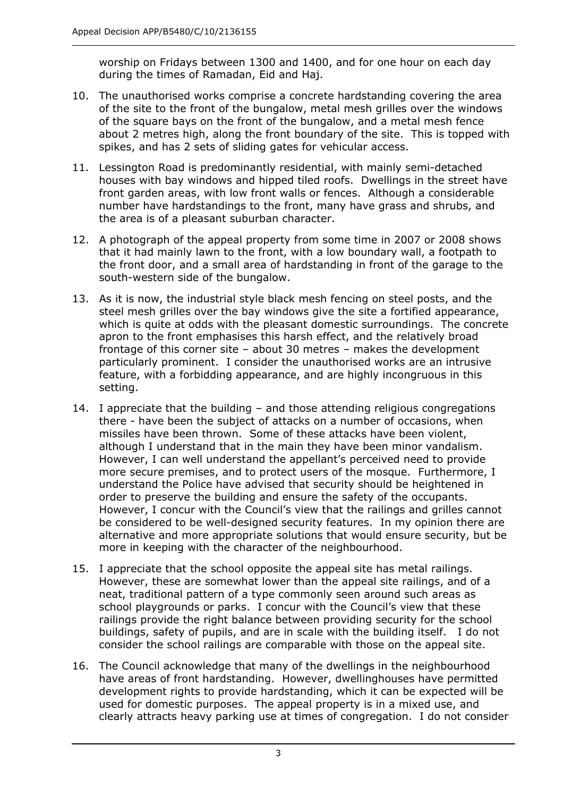worship on Fridays between 1300 and 1400, and for one hour on each day during the times of Ramadan, Eid and Haj.

- of the site to the front of the bungalow, metal mesh grilles over the windows of the square bays on the front of the bungalow, and a metal mesh fence about 2 metres high, along the front boundary of the site. This is topped with spikes, and has 2 sets of sliding gates for vehicular access. 10. The unauthorised works comprise a concrete hardstanding covering the area
- 11. Lessington Road is predominantly residential, with mainly semi-detached houses with bay windows and hipped tiled roofs. Dwellings in the street have front garden areas, with low front walls or fences. Although a considerable number have hardstandings to the front, many have grass and shrubs, and the area is of a pleasant suburban character.
- 12. A photograph of the appeal property from some time in 2007 or 2008 shows that it had mainly lawn to the front, with a low boundary wall, a footpath to the front door, and a small area of hardstanding in front of the garage to the south-western side of the bungalow.
- 13. As it is now, the industrial style black mesh fencing on steel posts, and the steel mesh grilles over the bay windows give the site a fortified appearance, which is quite at odds with the pleasant domestic surroundings. The concrete apron to the front emphasises this harsh effect, and the relatively broad frontage of this corner site – about 30 metres – makes the development particularly prominent. I consider the unauthorised works are an intrusive feature, with a forbidding appearance, and are highly incongruous in this setting.
- 14. I appreciate that the building and those attending religious congregations there - have been the subject of attacks on a number of occasions, when missiles have been thrown. Some of these attacks have been violent, although I understand that in the main they have been minor vandalism. However, I can well understand the appellant's perceived need to provide more secure premises, and to protect users of the mosque. Furthermore, I understand the Police have advised that security should be heightened in order to preserve the building and ensure the safety of the occupants. However, I concur with the Council's view that the railings and grilles cannot be considered to be well-designed security features. In my opinion there are alternative and more appropriate solutions that would ensure security, but be more in keeping with the character of the neighbourhood.
- 15. I appreciate that the school opposite the appeal site has metal railings. However, these are somewhat lower than the appeal site railings, and of a neat, traditional pattern of a type commonly seen around such areas as school playgrounds or parks. I concur with the Council's view that these railings provide the right balance between providing security for the school buildings, safety of pupils, and are in scale with the building itself. I do not consider the school railings are comparable with those on the appeal site.
- 16. The Council acknowledge that many of the dwellings in the neighbourhood have areas of front hardstanding. However, dwellinghouses have permitted development rights to provide hardstanding, which it can be expected will be used for domestic purposes. The appeal property is in a mixed use, and clearly attracts heavy parking use at times of congregation. I do not consider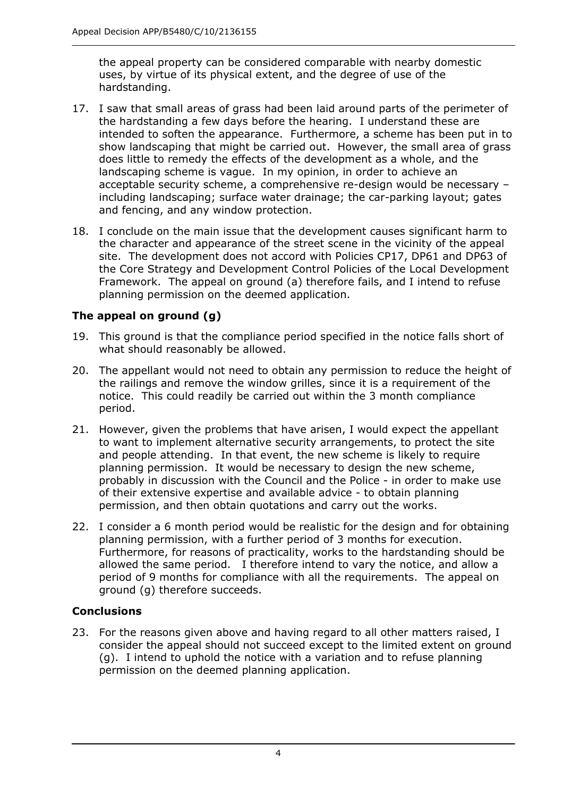the appeal property can be considered comparable with nearby domestic uses, by virtue of its physical extent, and the degree of use of the hardstanding.

- 17. I saw that small areas of grass had been laid around parts of the perimeter of the hardstanding a few days before the hearing. I understand these are intended to soften the appearance. Furthermore, a scheme has been put in to show landscaping that might be carried out. However, the small area of grass does little to remedy the effects of the development as a whole, and the landscaping scheme is vague. In my opinion, in order to achieve an acceptable security scheme, a comprehensive re-design would be necessary including landscaping; surface water drainage; the car-parking layout; gates and fencing, and any window protection.
- 18. I conclude on the main issue that the development causes significant harm to the character and appearance of the street scene in the vicinity of the appeal site. The development does not accord with Policies CP17, DP61 and DP63 of the Core Strategy and Development Control Policies of the Local Development Framework. The appeal on ground (a) therefore fails, and I intend to refuse planning permission on the deemed application.

# **The appeal on ground (g)**

- 19. This ground is that the compliance period specified in the notice falls short of what should reasonably be allowed.
- 20. The appellant would not need to obtain any permission to reduce the height of the railings and remove the window grilles, since it is a requirement of the notice. This could readily be carried out within the 3 month compliance period.
- 21. However, given the problems that have arisen, I would expect the appellant to want to implement alternative security arrangements, to protect the site and people attending. In that event, the new scheme is likely to require planning permission. It would be necessary to design the new scheme, probably in discussion with the Council and the Police - in order to make use of their extensive expertise and available advice - to obtain planning permission, and then obtain quotations and carry out the works.
- 22. I consider a 6 month period would be realistic for the design and for obtaining planning permission, with a further period of 3 months for execution. Furthermore, for reasons of practicality, works to the hardstanding should be allowed the same period. I therefore intend to vary the notice, and allow a period of 9 months for compliance with all the requirements. The appeal on ground (g) therefore succeeds.

## **Conclusions**

 23. For the reasons given above and having regard to all other matters raised, I consider the appeal should not succeed except to the limited extent on ground (g). I intend to uphold the notice with a variation and to refuse planning permission on the deemed planning application.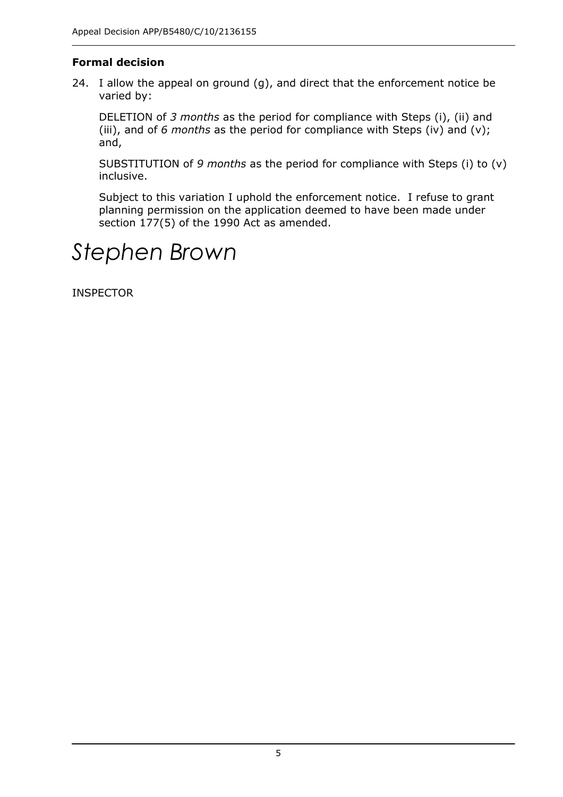# **Formal decision**

24. I allow the appeal on ground (g), and direct that the enforcement notice be varied by:

DELETION of 3 *months* as the period for compliance with Steps (i), (ii) and (iii), and of 6 *months* as the period for compliance with Steps (iv) and (v); and,

SUBSTITUTION of 9 *months* as the period for compliance with Steps (i) to (v) inclusive.

 Subject to this variation I uphold the enforcement notice. I refuse to grant planning permission on the application deemed to have been made under section 177(5) of the 1990 Act as amended.

# *Stephen Brown*

INSPECTOR